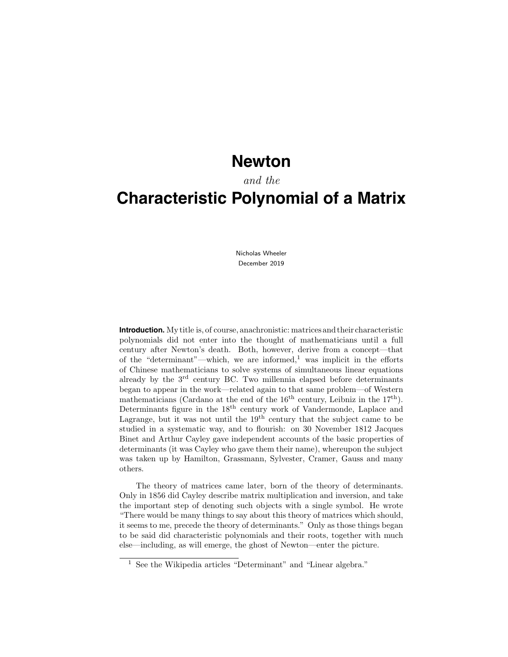## **Newton**

### and the

# **Characteristic Polynomial of a Matrix**

Nicholas Wheeler December 2019

**Introduction.** My title is, of course, anachronistic: matrices and their characteristic polynomials did not enter into the thought of mathematicians until a full century after Newton's death. Both, however, derive from a concept—that of the "determinant"—which, we are informed,<sup>1</sup> was implicit in the efforts of Chinese mathematicians to solve systems of simultaneous linear equations already by the  $3<sup>rd</sup>$  century BC. Two millennia elapsed before determinants began to appear in the work—related again to that same problem—of Western mathematicians (Cardano at the end of the  $16<sup>th</sup>$  century, Leibniz in the  $17<sup>th</sup>$ ). Determinants figure in the 18<sup>th</sup> century work of Vandermonde, Laplace and Lagrange, but it was not until the  $19<sup>th</sup>$  century that the subject came to be studied in a systematic way, and to flourish: on 30 November 1812 Jacques Binet and Arthur Cayley gave independent accounts of the basic properties of determinants (it was Cayley who gave them their name), whereupon the subject was taken up by Hamilton, Grassmann, Sylvester, Cramer, Gauss and many others.

The theory of matrices came later, born of the theory of determinants. Only in 1856 did Cayley describe matrix multiplication and inversion, and take the important step of denoting such objects with a single symbol. He wrote "There would be many things to say about this theory of matrices which should, it seems to me, precede the theory of determinants." Only as those things began to be said did characteristic polynomials and their roots, together with much else—including, as will emerge, the ghost of Newton—enter the picture.

<sup>1</sup> See the Wikipedia articles "Determinant" and "Linear algebra."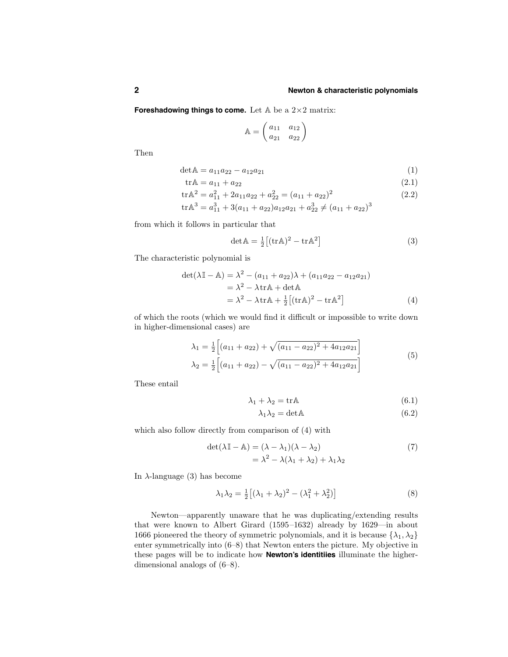**Foreshadowing things to come.** Let A be a 2×2 matrix:

$$
\mathbb{A} = \begin{pmatrix} a_{11} & a_{12} \\ a_{21} & a_{22} \end{pmatrix}
$$

Then

$$
\det \mathbb{A} = a_{11}a_{22} - a_{12}a_{21} \tag{1}
$$

$$
trA = a_{11} + a_{22}
$$
 (2.1)

$$
\text{tr}\mathbb{A}^2 = a_{11}^2 + 2a_{11}a_{22} + a_{22}^2 = (a_{11} + a_{22})^2 \tag{2.2}
$$

$$
\text{tr}\mathbb{A}^3 = a_{11}^3 + 3(a_{11} + a_{22})a_{12}a_{21} + a_{22}^3 \neq (a_{11} + a_{22})^3
$$

from which it follows in particular that

$$
\det \mathbb{A} = \frac{1}{2} \left[ (\text{tr}\,\mathbb{A})^2 - \text{tr}\,\mathbb{A}^2 \right] \tag{3}
$$

The characteristic polynomial is

$$
\det(\lambda \mathbb{I} - \mathbb{A}) = \lambda^2 - (a_{11} + a_{22})\lambda + (a_{11}a_{22} - a_{12}a_{21})
$$
  
=  $\lambda^2 - \lambda \text{tr}\mathbb{A} + \det \mathbb{A}$   
=  $\lambda^2 - \lambda \text{tr}\mathbb{A} + \frac{1}{2} [(\text{tr}\mathbb{A})^2 - \text{tr}\mathbb{A}^2]$  (4)

of which the roots (which we would find it difficult or impossible to write down in higher-dimensional cases) are

$$
\lambda_1 = \frac{1}{2} \left[ (a_{11} + a_{22}) + \sqrt{(a_{11} - a_{22})^2 + 4a_{12}a_{21}} \right]
$$
  
\n
$$
\lambda_2 = \frac{1}{2} \left[ (a_{11} + a_{22}) - \sqrt{(a_{11} - a_{22})^2 + 4a_{12}a_{21}} \right]
$$
\n(5)

These entail

$$
\lambda_1 + \lambda_2 = \text{tr}\mathbb{A} \tag{6.1}
$$

$$
\lambda_1 \lambda_2 = \det \mathbb{A} \tag{6.2}
$$

which also follow directly from comparison of (4) with

$$
\det(\lambda \mathbb{I} - \mathbb{A}) = (\lambda - \lambda_1)(\lambda - \lambda_2)
$$
  
=  $\lambda^2 - \lambda(\lambda_1 + \lambda_2) + \lambda_1\lambda_2$  (7)

In  $\lambda$ -language (3) has become

$$
\lambda_1 \lambda_2 = \frac{1}{2} \left[ (\lambda_1 + \lambda_2)^2 - (\lambda_1^2 + \lambda_2^2) \right] \tag{8}
$$

Newton—apparently unaware that he was duplicating/extending results that were known to Albert Girard (1595–1632) already by 1629—in about 1666 pioneered the theory of symmetric polynomials, and it is because  $\{\lambda_1, \lambda_2\}$ enter symmetrically into (6–8) that Newton enters the picture. My objective in these pages will be to indicate how **Newton's identitiies** illuminate the higherdimensional analogs of (6–8).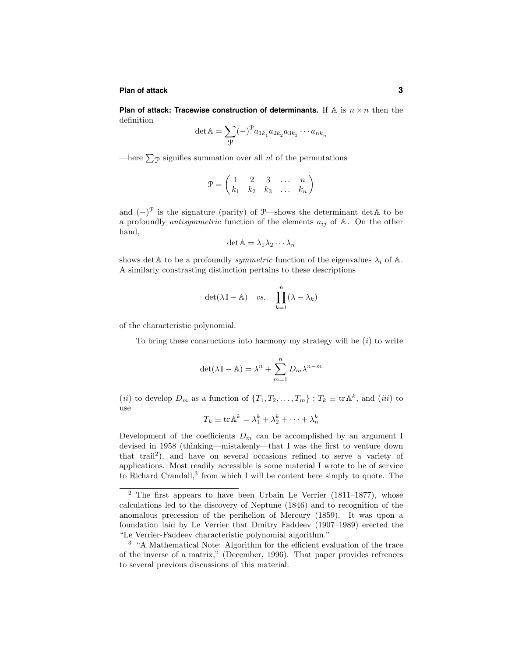#### **Plan of attack 3**

**Plan of attack: Tracewise construction of determinants.** If  $A$  is  $n \times n$  then the definition

$$
\det \mathbb{A} = \sum_{\mathcal{P}} (-)^{\mathcal{P}} a_{1k_1} a_{2k_2} a_{3k_3} \cdots a_{nk_n}
$$

—here  $\sum_{\mathcal{P}}$  signifies summation over all n! of the permutations

$$
\mathcal{P} = \left( \begin{array}{cccccc} 1 & 2 & 3 & \ldots & n \\ k_1 & k_2 & k_3 & \ldots & k_n \end{array} \right)
$$

and  $(-)^{\mathcal{P}}$  is the signature (parity) of  $\mathcal{P}$ —shows the determinant detA to be a profoundly *antisymmetric* function of the elements  $a_{ij}$  of  $A$ . On the other hand,

$$
\det \mathbb{A} = \lambda_1 \lambda_2 \cdots \lambda_n
$$

shows det A to be a profoundly *symmetric* function of the eigenvalues  $\lambda_i$  of A. A similarly constrasting distinction pertains to these descriptions

$$
\det(\lambda \mathbb{I} - \mathbb{A}) \quad vs. \quad \prod_{k=1}^{n} (\lambda - \lambda_k)
$$

of the characteristic polynomial.

To bring these consructions into harmony my strategy will be  $(i)$  to write

$$
\det(\lambda \mathbb{I} - \mathbb{A}) = \lambda^n + \sum_{m=1}^n D_m \lambda^{n-m}
$$

(ii) to develop  $D_m$  as a function of  $\{T_1, T_2, \ldots, T_m\} : T_k \equiv \text{tr} \mathbb{A}^k$ , and (iii) to use

$$
T_k \equiv \text{tr} \,\mathbb{A}^k = \lambda_1^k + \lambda_2^k + \cdots + \lambda_n^k
$$

Development of the coefficients  $D_m$  can be accomplished by an argument I devised in 1958 (thinking—mistakenly—that I was the first to venture down that trail<sup>2</sup>), and have on several occasions refined to serve a variety of applications. Most readily accessible is some material I wrote to be of service to Richard Crandall,<sup>3</sup> from which I will be content here simply to quote. The

 $2$  The first appears to have been Urbain Le Verrier (1811–1877), whose calculations led to the discovery of Neptune (1846) and to recognition of the anomalous precession of the perihelion of Mercury (1859). It was upon a foundation laid by Le Verrier that Dmitry Faddeev (1907–1989) erected the "Le Verrier-Faddeev characteristic polynomial algorithm."

<sup>3</sup> "A Mathematical Note: Algorithm for the efficient evaluation of the trace of the inverse of a matrix," (December, 1996). That paper provides refrences to several previous discussions of this material.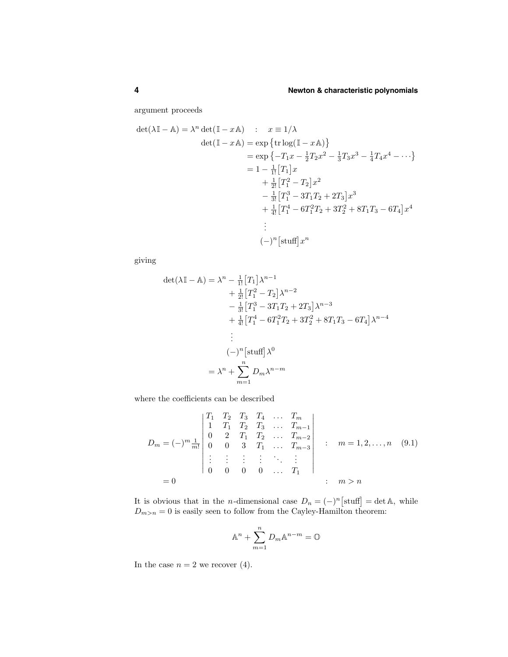argument proceeds

$$
\det(\lambda \mathbb{I} - \mathbb{A}) = \lambda^n \det(\mathbb{I} - x\mathbb{A}) : x \equiv 1/\lambda
$$
  
\n
$$
\det(\mathbb{I} - x\mathbb{A}) = \exp\left\{\text{tr}\log(\mathbb{I} - x\mathbb{A})\right\}
$$
  
\n
$$
= \exp\left\{-T_1x - \frac{1}{2}T_2x^2 - \frac{1}{3}T_3x^3 - \frac{1}{4}T_4x^4 - \cdots\right\}
$$
  
\n
$$
= 1 - \frac{1}{1!}\left[T_1\right]x
$$
  
\n
$$
+ \frac{1}{2!}\left[T_1^2 - T_2\right]x^2
$$
  
\n
$$
- \frac{1}{3!}\left[T_1^3 - 3T_1T_2 + 2T_3\right]x^3
$$
  
\n
$$
+ \frac{1}{4!}\left[T_1^4 - 6T_1^2T_2 + 3T_2^2 + 8T_1T_3 - 6T_4\right]x^4
$$
  
\n
$$
\vdots
$$
  
\n
$$
(-)^n\left[\text{stuff}\right]x^n
$$

giving

$$
\det(\lambda \mathbb{I} - \mathbb{A}) = \lambda^n - \frac{1}{1!} [T_1] \lambda^{n-1}
$$
  
+  $\frac{1}{2!} [T_1^2 - T_2] \lambda^{n-2}$   
-  $\frac{1}{3!} [T_1^3 - 3T_1 T_2 + 2T_3] \lambda^{n-3}$   
+  $\frac{1}{4!} [T_1^4 - 6T_1^2 T_2 + 3T_2^2 + 8T_1 T_3 - 6T_4] \lambda^{n-4}$   
:  
-  $(-)^n [\text{stuff}] \lambda^0$   
=  $\lambda^n + \sum_{m=1}^n D_m \lambda^{n-m}$ 

where the coefficients can be described

$$
D_m = (-)^m \frac{1}{m!} \begin{vmatrix} T_1 & T_2 & T_3 & T_4 & \dots & T_m \\ 1 & T_1 & T_2 & T_3 & \dots & T_{m-1} \\ 0 & 2 & T_1 & T_2 & \dots & T_{m-2} \\ 0 & 0 & 3 & T_1 & \dots & T_{m-3} \\ \vdots & \vdots & \vdots & \vdots & \ddots & \vdots \\ 0 & 0 & 0 & 0 & \dots & T_1 \end{vmatrix} ; m = 1, 2, \dots, n \quad (9.1)
$$

$$
= 0
$$

It is obvious that in the *n*-dimensional case  $D_n = (-)^n [\text{stuff}] = \det A$ , while  $D_{m>n} = 0$  is easily seen to follow from the Cayley-Hamilton theorem:

$$
\mathbb{A}^n + \sum_{m=1}^n D_m \mathbb{A}^{n-m} = \mathbb{O}
$$

In the case  $n = 2$  we recover (4).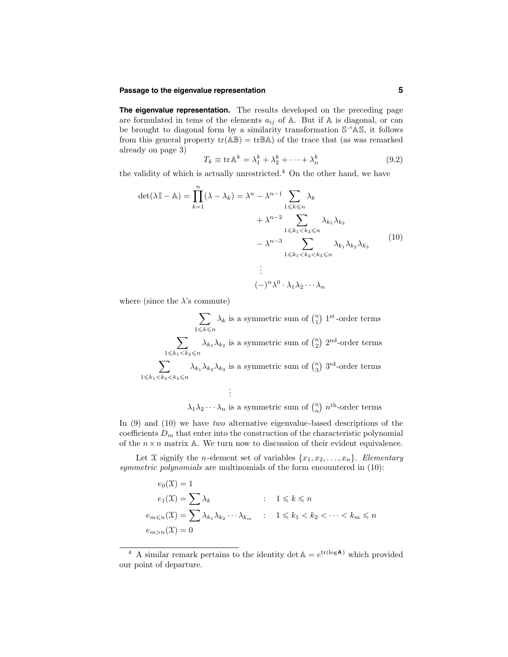#### **Passage to the eigenvalue representation 5**

**The eigenvalue representation.** The results developed on the preceding page are formulated in tems of the elements  $a_{ij}$  of A. But if A is diagonal, or can be brought to diagonal form by a similarity transformation S–1AS, it follows from this general property  $tr(AB) = trBA$ ) of the trace that (as was remarked already on page 3)

$$
T_k \equiv \text{tr}\,\mathbb{A}^k = \lambda_1^k + \lambda_2^k + \dots + \lambda_n^k \tag{9.2}
$$

the validity of which is actually unrestricted.<sup>4</sup> On the other hand, we have

$$
\det(\lambda \mathbb{I} - \mathbb{A}) = \prod_{k=1}^{n} (\lambda - \lambda_k) = \lambda^n - \lambda^{n-1} \sum_{1 \le k \le n} \lambda_k
$$
  
+  $\lambda^{n-2} \sum_{1 \le k_1 < k_2 \le n} \lambda_{k_1} \lambda_{k_2}$   
-  $\lambda^{n-3} \sum_{1 \le k_1 < k_2 < k_3 \le n} \lambda_{k_1} \lambda_{k_2} \lambda_{k_3}$  (10)  
:  

$$
(-)^n \lambda^0 \cdot \lambda_1 \lambda_2 \cdots \lambda_n
$$

where (since the  $\lambda$ 's commute)

$$
\sum_{1 \leq k \leq n} \lambda_k \text{ is a symmetric sum of } \binom{n}{1} 1^{\text{st}}\text{-order terms}
$$
\n
$$
\sum_{1 \leq k_1 < k_2 \leq n} \lambda_{k_1} \lambda_{k_2} \text{ is a symmetric sum of } \binom{n}{2} 2^{\text{nd}}\text{-order terms}
$$
\n
$$
\sum_{1 \leq k_1 < k_2 < k_3 \leq n} \lambda_{k_1} \lambda_{k_2} \lambda_{k_3} \text{ is a symmetric sum of } \binom{n}{3} 3^{\text{rd}}\text{-order terms}
$$
\n
$$
\vdots
$$

 $\lambda_1 \lambda_2 \cdots \lambda_n$  is a symmetric sum of  $\binom{n}{n}$  n<sup>th</sup>-order terms

In (9) and (10) we have two alternative eigenvalue-based descriptions of the coefficients  $D_m$  that enter into the construction of the characteristic polynomial of the  $n \times n$  matrix A. We turn now to discussion of their evident equivalence.

Let X signify the *n*-element set of variables  $\{x_1, x_2, \ldots, x_n\}$ . Elementary symmetric polynomials are multinomials of the form encountered in  $(10)$ :

$$
e_0(\mathfrak{X}) = 1
$$
  
\n
$$
e_1(\mathfrak{X}) = \sum \lambda_k \qquad 1 \le k \le n
$$
  
\n
$$
e_{m \le n}(\mathfrak{X}) = \sum \lambda_{k_1} \lambda_{k_2} \cdots \lambda_{k_m} \qquad 1 \le k_1 < k_2 < \cdots < k_m \le n
$$
  
\n
$$
e_{m > n}(\mathfrak{X}) = 0
$$

<sup>&</sup>lt;sup>4</sup> A similar remark pertains to the identity det  $A = e^{tr(\log A)}$  which provided our point of departure.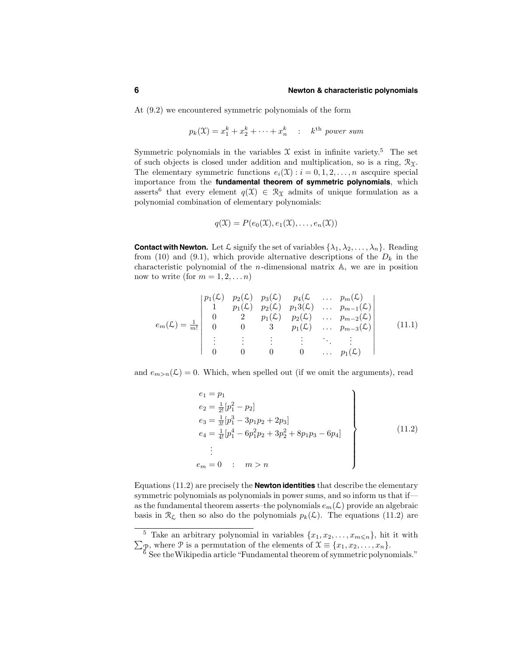#### **6 Newton & characteristic polynomials**

At (9.2) we encountered symmetric polynomials of the form

$$
p_k(\mathfrak{X}) = x_1^k + x_2^k + \dots + x_n^k \quad : \quad k^{\text{th}} \text{ power sum}
$$

Symmetric polynomials in the variables  $\mathfrak X$  exist in infinite variety.<sup>5</sup> The set of such objects is closed under addition and multiplication, so is a ring,  $\mathcal{R}_{\Upsilon}$ . The elementary symmetric functions  $e_i(\mathfrak{X}) : i = 0, 1, 2, \ldots, n$  ascquire special importance from the **fundamental theorem of symmetric polynomials**, which asserts<sup>6</sup> that every element  $q(\mathfrak{X}) \in \mathcal{R}_{\mathfrak{X}}$  admits of unique formulation as a polynomial combination of elementary polynomials:

$$
q(\mathfrak{X}) = P(e_0(\mathfrak{X}), e_1(\mathfrak{X}), \dots, e_n(\mathfrak{X}))
$$

**Contact with Newton.** Let  $\mathcal{L}$  signify the set of variables  $\{\lambda_1, \lambda_2, \ldots, \lambda_n\}$ . Reading from (10) and (9.1), which provide alternative descriptions of the  $D_k$  in the characteristic polynomial of the  $n$ -dimensional matrix  $A$ , we are in position now to write (for  $m = 1, 2, \ldots n$ )

$$
e_m(\mathcal{L}) = \frac{1}{m!} \begin{vmatrix} p_1(\mathcal{L}) & p_2(\mathcal{L}) & p_3(\mathcal{L}) & p_4(\mathcal{L} & \dots & p_m(\mathcal{L}) \\ 1 & p_1(\mathcal{L}) & p_2(\mathcal{L}) & p_13(\mathcal{L}) & \dots & p_{m-1}(\mathcal{L}) \\ 0 & 2 & p_1(\mathcal{L}) & p_2(\mathcal{L}) & \dots & p_{m-2}(\mathcal{L}) \\ 0 & 0 & 3 & p_1(\mathcal{L}) & \dots & p_{m-3}(\mathcal{L}) \\ \vdots & \vdots & \vdots & \vdots & \ddots & \vdots \\ 0 & 0 & 0 & 0 & \dots & p_1(\mathcal{L}) \end{vmatrix}
$$
(11.1)

and  $e_{m>n}(\mathcal{L})=0$ . Which, when spelled out (if we omit the arguments), read

$$
e_1 = p_1
$$
  
\n
$$
e_2 = \frac{1}{2!} [p_1^2 - p_2]
$$
  
\n
$$
e_3 = \frac{1}{3!} [p_1^3 - 3p_1p_2 + 2p_3]
$$
  
\n
$$
e_4 = \frac{1}{4!} [p_1^4 - 6p_1^2p_2 + 3p_2^2 + 8p_1p_3 - 6p_4]
$$
  
\n
$$
\vdots
$$
  
\n
$$
e_m = 0 \quad : \quad m > n
$$
\n(11.2)

Equations (11.2) are precisely the **Newton identities** that describe the elementary symmetric polynomials as polynomials in power sums, and so inform us that if as the fundamental theorem asserts–the polynomials  $e_m(\mathcal{L})$  provide an algebraic basis in  $\mathcal{R}_{\mathcal{L}}$  then so also do the polynomials  $p_k(\mathcal{L})$ . The equations (11.2) are

<sup>&</sup>lt;sup>5</sup> Take an arbitrary polynomial in variables  $\{x_1, x_2, \ldots, x_{m \le n}\}$ , hit it with  $\sum_{\mathcal{P}}$ , where  $\mathcal{P}$  is a permutation of the elements of  $\mathcal{X} \equiv \{x_1, x_2, \ldots, x_n\}.$ 

 $6$  See the Wikipedia article "Fundamental theorem of symmetric polynomials."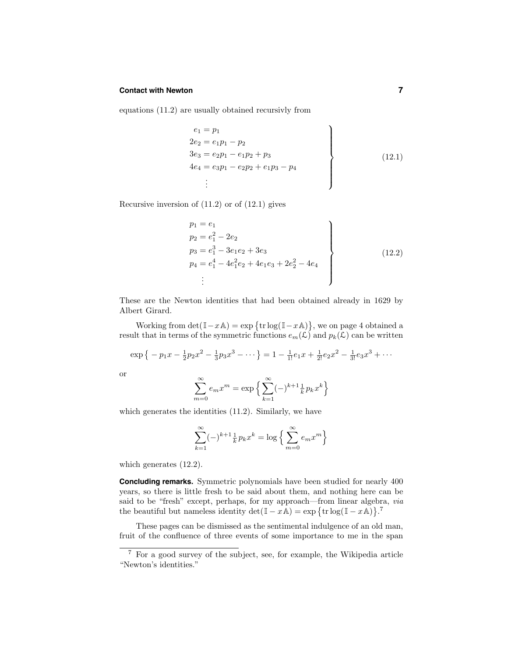#### **Contact with Newton 7**

equations (11.2) are usually obtained recursivly from

$$
e_1 = p_1
$$
  
\n
$$
2e_2 = e_1p_1 - p_2
$$
  
\n
$$
3e_3 = e_2p_1 - e_1p_2 + p_3
$$
  
\n
$$
4e_4 = e_3p_1 - e_2p_2 + e_1p_3 - p_4
$$
  
\n
$$
\vdots
$$
\n(12.1)

Recursive inversion of (11.2) or of (12.1) gives

$$
p_1 = e_1
$$
  
\n
$$
p_2 = e_1^2 - 2e_2
$$
  
\n
$$
p_3 = e_1^3 - 3e_1e_2 + 3e_3
$$
  
\n
$$
p_4 = e_1^4 - 4e_1^2e_2 + 4e_1e_3 + 2e_2^2 - 4e_4
$$
  
\n
$$
\vdots
$$
\n(12.2)

These are the Newton identities that had been obtained already in 1629 by Albert Girard.

Working from  $\det(\mathbb{I} - x\mathbb{A}) = \exp\{\text{tr}\log(\mathbb{I} - x\mathbb{A})\}$ , we on page 4 obtained a result that in terms of the symmetric functions  $e_m(\mathcal{L})$  and  $p_k(\mathcal{L})$  can be written

$$
\exp\left\{-p_1x - \frac{1}{2}p_2x^2 - \frac{1}{3}p_3x^3 - \dots\right\} = 1 - \frac{1}{1!}e_1x + \frac{1}{2!}e_2x^2 - \frac{1}{3!}e_3x^3 + \dots
$$

or

$$
\sum_{m=0}^{\infty} e_m x^m = \exp\left\{\sum_{k=1}^{\infty} (-)^{k+1} \frac{1}{k} p_k x^k \right\}
$$

which generates the identities  $(11.2)$ . Similarly, we have

$$
\sum_{k=1}^{\infty} (-)^{k+1} \frac{1}{k} p_k x^k = \log \left\{ \sum_{m=0}^{\infty} e_m x^m \right\}
$$

which generates (12.2).

**Concluding remarks.** Symmetric polynomials have been studied for nearly 400 years, so there is little fresh to be said about them, and nothing here can be said to be "fresh" except, perhaps, for my approach—from linear algebra,  $via$ the beautiful but nameless identity  $\det(\mathbb{I} - x\mathbb{A}) = \exp \{ \text{tr} \log(\mathbb{I} - x\mathbb{A}) \}$ .<sup>7</sup>

These pages can be dismissed as the sentimental indulgence of an old man, fruit of the confluence of three events of some importance to me in the span

<sup>7</sup> For a good survey of the subject, see, for example, the Wikipedia article "Newton's identities."